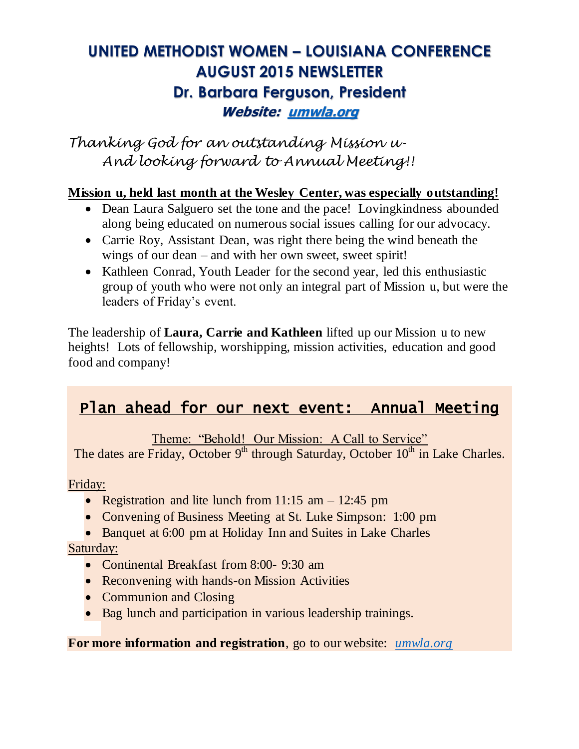# **UNITED METHODIST WOMEN – LOUISIANA CONFERENCE AUGUST 2015 NEWSLETTER Dr. Barbara Ferguson, President Website: [umwla.org](http://umwla.org/)**

*Thanking God for an outstanding Mission u-And looking forward to Annual Meeting!!*

#### **Mission u, held last month at the Wesley Center, was especially outstanding!**

- Dean Laura Salguero set the tone and the pace! Loving kindness abounded along being educated on numerous social issues calling for our advocacy.
- Carrie Roy, Assistant Dean, was right there being the wind beneath the wings of our dean – and with her own sweet, sweet spirit!
- Kathleen Conrad, Youth Leader for the second year, led this enthusiastic group of youth who were not only an integral part of Mission u, but were the leaders of Friday's event.

The leadership of **Laura, Carrie and Kathleen** lifted up our Mission u to new heights! Lots of fellowship, worshipping, mission activities, education and good food and company!

## Plan ahead for our next event: Annual Meeting

Theme: "Behold! Our Mission: A Call to Service"

The dates are Friday, October 9<sup>th</sup> through Saturday, October 10<sup>th</sup> in Lake Charles.

#### Friday:

- Registration and lite lunch from 11:15 am  $-$  12:45 pm
- Convening of Business Meeting at St. Luke Simpson: 1:00 pm
- Banquet at 6:00 pm at Holiday Inn and Suites in Lake Charles

#### Saturday:

- Continental Breakfast from 8:00- 9:30 am
- Reconvening with hands-on Mission Activities
- Communion and Closing
- Bag lunch and participation in various leadership trainings.

#### **For more information and registration**, go to our website: *[umwla.org](http://umwla.org/)*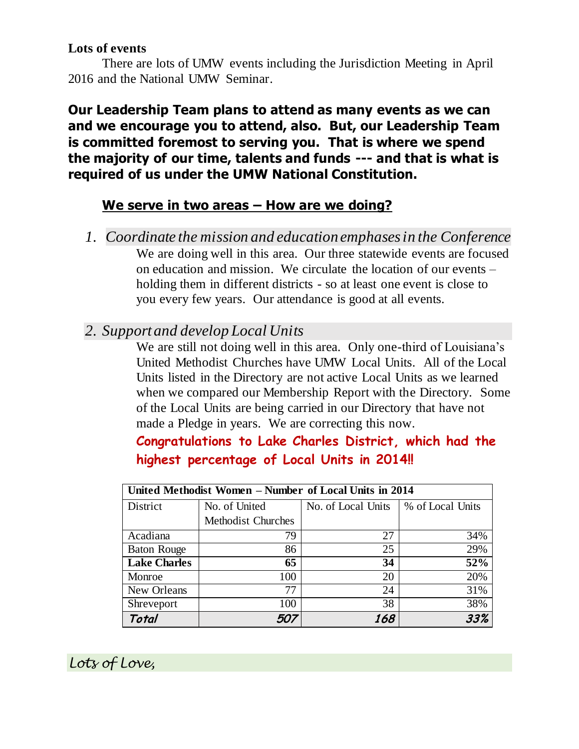#### **Lots of events**

There are lots of UMW events including the Jurisdiction Meeting in April 2016 and the National UMW Seminar.

**Our Leadership Team plans to attend as many events as we can and we encourage you to attend, also. But, our Leadership Team is committed foremost to serving you. That is where we spend the majority of our time, talents and funds --- and that is what is required of us under the UMW National Constitution.**

### **We serve in two areas – How are we doing?**

*1. Coordinate the mission and education emphases in the Conference* We are doing well in this area. Our three statewide events are focused on education and mission. We circulate the location of our events – holding them in different districts - so at least one event is close to you every few years. Our attendance is good at all events.

### *2. Support and develop Local Units*

We are still not doing well in this area. Only one-third of Louisiana's United Methodist Churches have UMW Local Units. All of the Local Units listed in the Directory are not active Local Units as we learned when we compared our Membership Report with the Directory. Some of the Local Units are being carried in our Directory that have not made a Pledge in years. We are correcting this now.

## **Congratulations to Lake Charles District, which had the highest percentage of Local Units in 2014!!**

| United Methodist Women - Number of Local Units in 2014 |                           |                    |                  |
|--------------------------------------------------------|---------------------------|--------------------|------------------|
| District                                               | No. of United             | No. of Local Units | % of Local Units |
|                                                        | <b>Methodist Churches</b> |                    |                  |
| Acadiana                                               | 79                        | 27                 | 34%              |
| <b>Baton Rouge</b>                                     | 86                        | 25                 | 29%              |
| <b>Lake Charles</b>                                    | 65                        | 34                 | 52%              |
| Monroe                                                 | 100                       | 20                 | 20%              |
| New Orleans                                            | 77                        | 24                 | 31%              |
| Shreveport                                             | 100                       | 38                 | 38%              |
| Total                                                  |                           | 168                | 33%              |

*Lots of Love,*